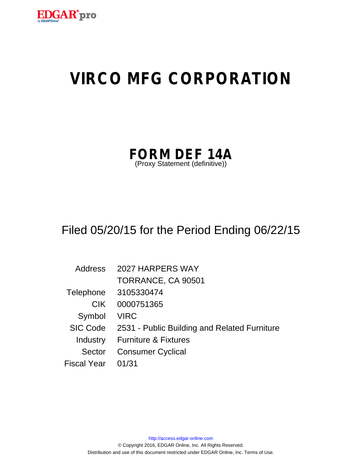

# **VIRCO MFG CORPORATION**

| <b>FORM DEF 14A</b>            |  |  |
|--------------------------------|--|--|
| (Proxy Statement (definitive)) |  |  |

# Filed 05/20/15 for the Period Ending 06/22/15

| Address            | 2027 HARPERS WAY                             |
|--------------------|----------------------------------------------|
|                    | TORRANCE, CA 90501                           |
| Telephone          | 3105330474                                   |
| CIK.               | 0000751365                                   |
| Symbol             | <b>VIRC</b>                                  |
| SIC Code           | 2531 - Public Building and Related Furniture |
| Industry           | <b>Furniture &amp; Fixtures</b>              |
| Sector             | <b>Consumer Cyclical</b>                     |
| <b>Fiscal Year</b> | 01/31                                        |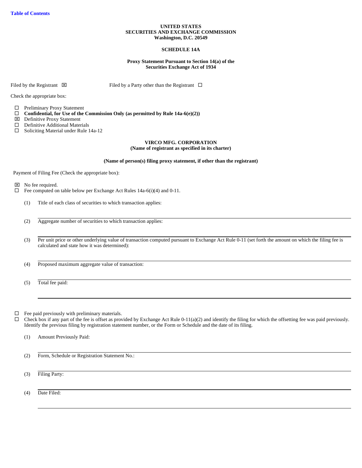# **UNITED STATES SECURITIES AND EXCHANGE COMMISSION Washington, D.C. 20549**

# **SCHEDULE 14A**

# **Proxy Statement Pursuant to Section 14(a) of the Securities Exchange Act of 1934**

Filed by the Registrant  $\boxtimes$  Filed by a Party other than the Registrant  $\Box$ 

Check the appropriate box:

□ Preliminary Proxy Statement

 $\Box$  Confidential, for Use of the Commission Only (as permitted by Rule 14a-6(e)(2))

- Definitive Proxy Statement
- $\Box$  Definitive Additional Materials
- $\Box$  Soliciting Material under Rule 14a-12

# **VIRCO MFG. CORPORATION (Name of registrant as specified in its charter)**

# **(Name of person(s) filing proxy statement, if other than the registrant)**

Payment of Filing Fee (Check the appropriate box):

 $\boxtimes$  No fee required.

- $\Box$  Fee computed on table below per Exchange Act Rules 14a-6(i)(4) and 0-11.
	- (1) Title of each class of securities to which transaction applies:
	- (2) Aggregate number of securities to which transaction applies:
	- (3) Per unit price or other underlying value of transaction computed pursuant to Exchange Act Rule 0-11 (set forth the amount on which the filing fee is calculated and state how it was determined):
	- (4) Proposed maximum aggregate value of transaction:
	- (5) Total fee paid:

 $\Box$  Fee paid previously with preliminary materials.

 $\Box$  Check box if any part of the fee is offset as provided by Exchange Act Rule 0-11(a)(2) and identify the filing for which the offsetting fee was paid previously. Identify the previous filing by registration statement number, or the Form or Schedule and the date of its filing.

(1) Amount Previously Paid:

(2) Form, Schedule or Registration Statement No.:

(3) Filing Party:

(4) Date Filed: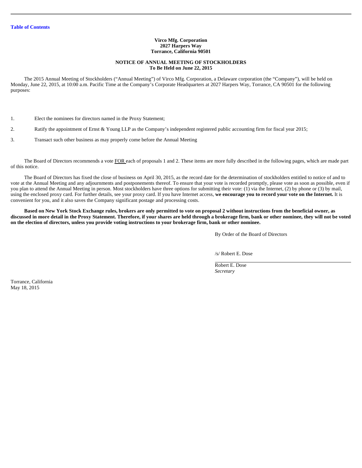# **Virco Mfg. Corporation 2027 Harpers Way Torrance, California 90501**

# **NOTICE OF ANNUAL MEETING OF STOCKHOLDERS To Be Held on June 22, 2015**

The 2015 Annual Meeting of Stockholders ("Annual Meeting") of Virco Mfg. Corporation, a Delaware corporation (the "Company"), will be held on Monday, June 22, 2015, at 10:00 a.m. Pacific Time at the Company's Corporate Headquarters at 2027 Harpers Way, Torrance, CA 90501 for the following purposes:

1. Elect the nominees for directors named in the Proxy Statement;

2. Ratify the appointment of Ernst & Young LLP as the Company's independent registered public accounting firm for fiscal year 2015;

3. Transact such other business as may properly come before the Annual Meeting

The Board of Directors recommends a vote FOR each of proposals 1 and 2. These items are more fully described in the following pages, which are made part of this notice.

The Board of Directors has fixed the close of business on April 30, 2015, as the record date for the determination of stockholders entitled to notice of and to vote at the Annual Meeting and any adjournments and postponements thereof. To ensure that your vote is recorded promptly, please vote as soon as possible, even if you plan to attend the Annual Meeting in person. Most stockholders have three options for submitting their vote: (1) via the Internet, (2) by phone or (3) by mail, using the enclosed proxy card. For further details, see your proxy card. If you have Internet access, **we encourage you to record your vote on the Internet.** It is convenient for you, and it also saves the Company significant postage and processing costs.

**Based on New York Stock Exchange rules, brokers are only permitted to vote on proposal 2 without instructions from the beneficial owner, as discussed in more detail in the Proxy Statement. Therefore, if your shares are held through a brokerage firm, bank or other nominee, they will not be voted on the election of directors, unless you provide voting instructions to your brokerage firm, bank or other nominee.** 

By Order of the Board of Directors

/s/ Robert E. Dose

Robert E. Dose *Secretary* 

Torrance, California May 18, 2015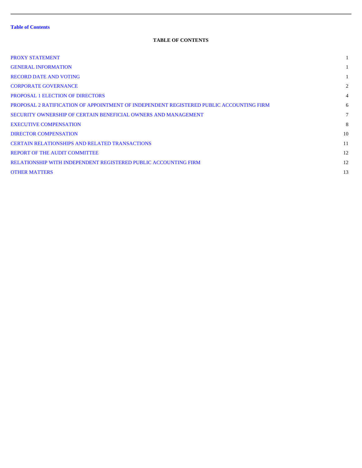# **TABLE OF CONTENTS**

| PROXY STATEMENT                                                                         |                |
|-----------------------------------------------------------------------------------------|----------------|
| <b>GENERAL INFORMATION</b>                                                              |                |
| <b>RECORD DATE AND VOTING</b>                                                           |                |
| <b>CORPORATE GOVERNANCE</b>                                                             | 2              |
| <b>PROPOSAL 1 ELECTION OF DIRECTORS</b>                                                 | $\overline{4}$ |
| PROPOSAL 2 RATIFICATION OF APPOINTMENT OF INDEPENDENT REGISTERED PUBLIC ACCOUNTING FIRM | 6              |
| SECURITY OWNERSHIP OF CERTAIN BENEFICIAL OWNERS AND MANAGEMENT                          | $\tau$         |
| <b>EXECUTIVE COMPENSATION</b>                                                           | 8              |
| <b>DIRECTOR COMPENSATION</b>                                                            | 10             |
| <b>CERTAIN RELATIONSHIPS AND RELATED TRANSACTIONS</b>                                   | 11             |
| <b>REPORT OF THE AUDIT COMMITTEE</b>                                                    | 12             |
| RELATIONSHIP WITH INDEPENDENT REGISTERED PUBLIC ACCOUNTING FIRM                         | 12             |
| <b>OTHER MATTERS</b>                                                                    | 13             |
|                                                                                         |                |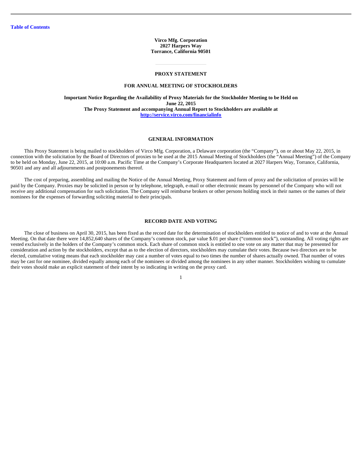**Virco Mfg. Corporation 2027 Harpers Way Torrance, California 90501** 

# **PROXY STATEMENT**  l

#### **FOR ANNUAL MEETING OF STOCKHOLDERS**

**Important Notice Regarding the Availability of Proxy Materials for the Stockholder Meeting to be Held on June 22, 2015 The Proxy Statement and accompanying Annual Report to Stockholders are available at http://service.virco.com/financialinfo** 

# **GENERAL INFORMATION**

This Proxy Statement is being mailed to stockholders of Virco Mfg. Corporation, a Delaware corporation (the "Company"), on or about May 22, 2015, in connection with the solicitation by the Board of Directors of proxies to be used at the 2015 Annual Meeting of Stockholders (the "Annual Meeting") of the Company to be held on Monday, June 22, 2015, at 10:00 a.m. Pacific Time at the Company's Corporate Headquarters located at 2027 Harpers Way, Torrance, California, 90501 and any and all adjournments and postponements thereof.

The cost of preparing, assembling and mailing the Notice of the Annual Meeting, Proxy Statement and form of proxy and the solicitation of proxies will be paid by the Company. Proxies may be solicited in person or by telephone, telegraph, e-mail or other electronic means by personnel of the Company who will not receive any additional compensation for such solicitation. The Company will reimburse brokers or other persons holding stock in their names or the names of their nominees for the expenses of forwarding soliciting material to their principals.

# **RECORD DATE AND VOTING**

The close of business on April 30, 2015, has been fixed as the record date for the determination of stockholders entitled to notice of and to vote at the Annual Meeting. On that date there were 14,852,640 shares of the Company's common stock, par value \$.01 per share ("common stock"), outstanding. All voting rights are vested exclusively in the holders of the Company's common stock. Each share of common stock is entitled to one vote on any matter that may be presented for consideration and action by the stockholders, except that as to the election of directors, stockholders may cumulate their votes. Because two directors are to be elected, cumulative voting means that each stockholder may cast a number of votes equal to two times the number of shares actually owned. That number of votes may be cast for one nominee, divided equally among each of the nominees or divided among the nominees in any other manner. Stockholders wishing to cumulate their votes should make an explicit statement of their intent by so indicating in writing on the proxy card.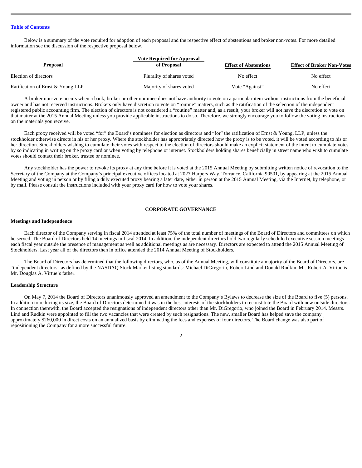Below is a summary of the vote required for adoption of each proposal and the respective effect of abstentions and broker non-votes. For more detailed information see the discussion of the respective proposal below.

| <b>Proposal</b>                   | <b>Vote Required for Approval</b><br>of Proposal | <b>Effect of Abstentions</b> | <b>Effect of Broker Non-Votes</b> |
|-----------------------------------|--------------------------------------------------|------------------------------|-----------------------------------|
| Election of directors             | Plurality of shares voted                        | No effect                    | No effect                         |
| Ratification of Ernst & Young LLP | Majority of shares voted                         | Vote "Against"               | No effect                         |

A broker non-vote occurs when a bank, broker or other nominee does not have authority to vote on a particular item without instructions from the beneficial owner and has not received instructions. Brokers only have discretion to vote on "routine" matters, such as the ratification of the selection of the independent registered public accounting firm. The election of directors is not considered a "routine" matter and, as a result, your broker will not have the discretion to vote on that matter at the 2015 Annual Meeting unless you provide applicable instructions to do so. Therefore, we strongly encourage you to follow the voting instructions on the materials you receive.

Each proxy received will be voted "for" the Board's nominees for election as directors and "for" the ratification of Ernst & Young, LLP, unless the stockholder otherwise directs in his or her proxy. Where the stockholder has appropriately directed how the proxy is to be voted, it will be voted according to his or her direction. Stockholders wishing to cumulate their votes with respect to the election of directors should make an explicit statement of the intent to cumulate votes by so indicating in writing on the proxy card or when voting by telephone or internet. Stockholders holding shares beneficially in street name who wish to cumulate votes should contact their broker, trustee or nominee.

Any stockholder has the power to revoke its proxy at any time before it is voted at the 2015 Annual Meeting by submitting written notice of revocation to the Secretary of the Company at the Company's principal executive offices located at 2027 Harpers Way, Torrance, California 90501, by appearing at the 2015 Annual Meeting and voting in person or by filing a duly executed proxy bearing a later date, either in person at the 2015 Annual Meeting, via the Internet, by telephone, or by mail. Please consult the instructions included with your proxy card for how to vote your shares.

# **CORPORATE GOVERNANCE**

# **Meetings and Independence**

Each director of the Company serving in fiscal 2014 attended at least 75% of the total number of meetings of the Board of Directors and committees on which he served. The Board of Directors held 14 meetings in fiscal 2014. In addition, the independent directors hold two regularly scheduled executive session meetings each fiscal year outside the presence of management as well as additional meetings as are necessary. Directors are expected to attend the 2015 Annual Meeting of Stockholders. Last year all of the directors then in office attended the 2014 Annual Meeting of Stockholders.

The Board of Directors has determined that the following directors, who, as of the Annual Meeting, will constitute a majority of the Board of Directors, are "independent directors" as defined by the NASDAQ Stock Market listing standards: Michael DiGregorio, Robert Lind and Donald Rudkin. Mr. Robert A. Virtue is Mr. Douglas A. Virtue's father.

# **Leadership Structure**

On May 7, 2014 the Board of Directors unanimously approved an amendment to the Company's Bylaws to decrease the size of the Board to five (5) persons. In addition to reducing its size, the Board of Directors determined it was in the best interests of the stockholders to reconstitute the Board with new outside directors. In connection therewith, the Board accepted the resignations of independent directors other than Mr. DiGregorio, who joined the Board in February 2014. Messrs. Lind and Rudkin were appointed to fill the two vacancies that were created by such resignations. The new, smaller Board has helped save the company approximately \$260,000 in direct costs on an annualized basis by eliminating the fees and expenses of four directors. The Board change was also part of repositioning the Company for a more successful future.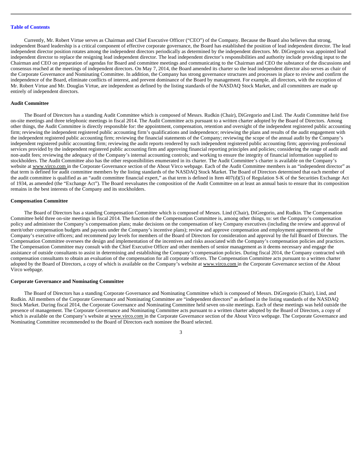Currently, Mr. Robert Virtue serves as Chairman and Chief Executive Officer ("CEO") of the Company. Because the Board also believes that strong, independent Board leadership is a critical component of effective corporate governance, the Board has established the position of lead independent director. The lead independent director position rotates among the independent directors periodically as determined by the independent directors. Mr. DiGregorio was appointed lead independent director to replace the resigning lead independent director. The lead independent director's responsibilities and authority include providing input to the Chairman and CEO on preparation of agendas for Board and committee meetings and communicating to the Chairman and CEO the substance of the discussions and consensus reached at the meetings of independent directors. On May 7, 2014, the Board amended its charter so the lead independent director also serves as chair of the Corporate Governance and Nominating Committee. In addition, the Company has strong governance structures and processes in place to review and confirm the independence of the Board, eliminate conflicts of interest, and prevent dominance of the Board by management. For example, all directors, with the exception of Mr. Robert Virtue and Mr. Douglas Virtue, are independent as defined by the listing standards of the NASDAQ Stock Market, and all committees are made up entirely of independent directors.

# **Audit Committee**

The Board of Directors has a standing Audit Committee which is composed of Messrs. Rudkin (Chair), DiGregorio and Lind. The Audit Committee held five on-site meetings and three telephonic meetings in fiscal 2014. The Audit Committee acts pursuant to a written charter adopted by the Board of Directors. Among other things, the Audit Committee is directly responsible for: the appointment, compensation, retention and oversight of the independent registered public accounting firm; reviewing the independent registered public accounting firm's qualifications and independence; reviewing the plans and results of the audit engagement with the independent registered public accounting firm; reviewing the financial statements of the Company; reviewing the scope of the annual audit by the Company's independent registered public accounting firm; reviewing the audit reports rendered by such independent registered public accounting firm; approving professional services provided by the independent registered public accounting firm and approving financial reporting principles and policies; considering the range of audit and non-audit fees; reviewing the adequacy of the Company's internal accounting controls; and working to ensure the integrity of financial information supplied to stockholders. The Audit Committee also has the other responsibilities enumerated in its charter. The Audit Committee's charter is available on the Company's website at www.virco.com in the Corporate Governance section of the About Virco webpage. Each of the Audit Committee members is an "independent director" as that term is defined for audit committee members by the listing standards of the NASDAQ Stock Market. The Board of Directors determined that each member of the audit committee is qualified as an "audit committee financial expert," as that term is defined in Item 407(d)(5) of Regulation S-K of the Securities Exchange Act of 1934, as amended (the "Exchange Act"). The Board reevaluates the composition of the Audit Committee on at least an annual basis to ensure that its composition remains in the best interests of the Company and its stockholders.

# **Compensation Committee**

The Board of Directors has a standing Compensation Committee which is composed of Messrs. Lind (Chair), DiGregorio, and Rudkin. The Compensation Committee held three on-site meetings in fiscal 2014. The function of the Compensation Committee is, among other things, to: set the Company's compensation policy and administer the Company's compensation plans; make decisions on the compensation of key Company executives (including the review and approval of merit/other compensation budgets and payouts under the Company's incentive plans); review and approve compensation and employment agreements of the Company's executive officers; and recommend pay levels for members of the Board of Directors for consideration and approval by the full Board of Directors. The Compensation Committee oversees the design and implementation of the incentives and risks associated with the Company's compensation policies and practices. The Compensation Committee may consult with the Chief Executive Officer and other members of senior management as it deems necessary and engage the assistance of outside consultants to assist in determining and establishing the Company's compensation policies. During fiscal 2014, the Company contracted with compensation consultants to obtain an evaluation of the compensation for all corporate officers. The Compensation Committee acts pursuant to a written charter adopted by the Board of Directors, a copy of which is available on the Company's website at www.virco.com in the Corporate Governance section of the About Virco webpage.

# **Corporate Governance and Nominating Committee**

The Board of Directors has a standing Corporate Governance and Nominating Committee which is composed of Messrs. DiGregorio (Chair), Lind, and Rudkin. All members of the Corporate Governance and Nominating Committee are "independent directors" as defined in the listing standards of the NASDAQ Stock Market. During fiscal 2014, the Corporate Governance and Nominating Committee held seven on-site meetings. Each of these meetings was held outside the presence of management. The Corporate Governance and Nominating Committee acts pursuant to a written charter adopted by the Board of Directors, a copy of which is available on the Company's website at www.virco.com in the Corporate Governance section of the About Virco webpage. The Corporate Governance and Nominating Committee recommended to the Board of Directors each nominee the Board selected.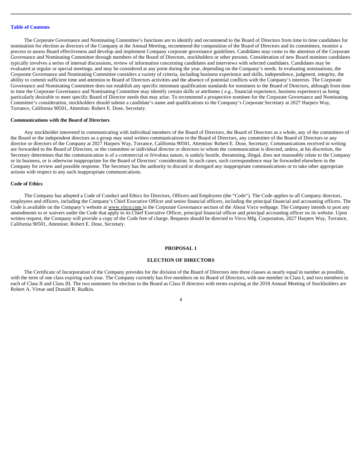The Corporate Governance and Nominating Committee's functions are to identify and recommend to the Board of Directors from time to time candidates for nomination for election as directors of the Company at the Annual Meeting, recommend the composition of the Board of Directors and its committees, monitor a process to assess Board effectiveness and develop and implement Company corporate governance guidelines. Candidates may come to the attention of the Corporate Governance and Nominating Committee through members of the Board of Directors, stockholders or other persons. Consideration of new Board nominee candidates typically involves a series of internal discussions, review of information concerning candidates and interviews with selected candidates. Candidates may be evaluated at regular or special meetings, and may be considered at any point during the year, depending on the Company's needs. In evaluating nominations, the Corporate Governance and Nominating Committee considers a variety of criteria, including business experience and skills, independence, judgment, integrity, the ability to commit sufficient time and attention to Board of Directors activities and the absence of potential conflicts with the Company's interests. The Corporate Governance and Nominating Committee does not establish any specific minimum qualification standards for nominees to the Board of Directors, although from time to time the Corporate Governance and Nominating Committee may identify certain skills or attributes ( *e.g.,* financial experience, business experience) as being particularly desirable to meet specific Board of Director needs that may arise. To recommend a prospective nominee for the Corporate Governance and Nominating Committee's consideration, stockholders should submit a candidate's name and qualifications to the Company's Corporate Secretary at 2027 Harpers Way, Torrance, California 90501, Attention: Robert E. Dose, Secretary.

## **Communications with the Board of Directors**

Any stockholder interested in communicating with individual members of the Board of Directors, the Board of Directors as a whole, any of the committees of the Board or the independent directors as a group may send written communications to the Board of Directors, any committee of the Board of Directors or any director or directors of the Company at 2027 Harpers Way, Torrance, California 90501, Attention: Robert E. Dose, Secretary. Communications received in writing are forwarded to the Board of Directors, or the committee or individual director or directors to whom the communication is directed, unless, at his discretion, the Secretary determines that the communication is of a commercial or frivolous nature, is unduly hostile, threatening, illegal, does not reasonably relate to the Company or its business, or is otherwise inappropriate for the Board of Directors' consideration. In such cases, such correspondence may be forwarded elsewhere in the Company for review and possible response. The Secretary has the authority to discard or disregard any inappropriate communications or to take other appropriate actions with respect to any such inappropriate communications.

# **Code of Ethics**

The Company has adopted a Code of Conduct and Ethics for Directors, Officers and Employees (the "Code"). The Code applies to all Company directors, employees and officers, including the Company's Chief Executive Officer and senior financial officers, including the principal financial and accounting officers. The Code is available on the Company's website at www.virco.com in the Corporate Governance section of the About Virco webpage. The Company intends to post any amendments to or waivers under the Code that apply to its Chief Executive Officer, principal financial officer and principal accounting officer on its website. Upon written request, the Company will provide a copy of the Code free of charge. Requests should be directed to Virco Mfg. Corporation, 2027 Harpers Way, Torrance, California 90501, Attention: Robert E. Dose, Secretary.

#### **PROPOSAL 1**

# **ELECTION OF DIRECTORS**

The Certificate of Incorporation of the Company provides for the division of the Board of Directors into three classes as nearly equal in number as possible, with the term of one class expiring each year. The Company currently has five members on its Board of Directors, with one member in Class I, and two members in each of Class II and Class III. The two nominees for election to the Board as Class II directors with terms expiring at the 2018 Annual Meeting of Stockholders are Robert A. Virtue and Donald R. Rudkin.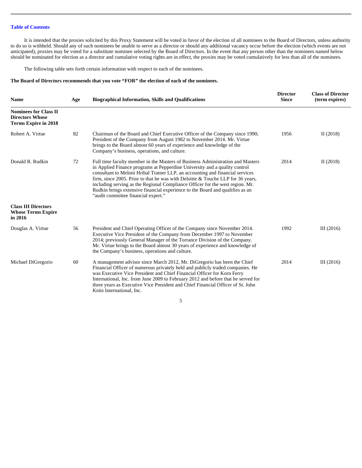It is intended that the proxies solicited by this Proxy Statement will be voted in favor of the election of all nominees to the Board of Directors, unless authority to do so is withheld. Should any of such nominees be unable to serve as a director or should any additional vacancy occur before the election (which events are not anticipated), proxies may be voted for a substitute nominee selected by the Board of Directors. In the event that any person other than the nominees named below should be nominated for election as a director and cumulative voting rights are in effect, the proxies may be voted cumulatively for less than all of the nominees.

The following table sets forth certain information with respect to each of the nominees.

# **The Board of Directors recommends that you vote "FOR" the election of each of the nominees.**

| <b>Name</b>                                                                           | Age | <b>Biographical Information, Skills and Qualifications</b>                                                                                                                                                                                                                                                                                                                                                                                                                                                                                | <b>Director</b><br><b>Since</b> | <b>Class of Director</b><br>(term expires) |
|---------------------------------------------------------------------------------------|-----|-------------------------------------------------------------------------------------------------------------------------------------------------------------------------------------------------------------------------------------------------------------------------------------------------------------------------------------------------------------------------------------------------------------------------------------------------------------------------------------------------------------------------------------------|---------------------------------|--------------------------------------------|
| <b>Nominees for Class II</b><br><b>Directors Whose</b><br><b>Terms Expire in 2018</b> |     |                                                                                                                                                                                                                                                                                                                                                                                                                                                                                                                                           |                                 |                                            |
| Robert A. Virtue                                                                      | 82  | Chairman of the Board and Chief Executive Officer of the Company since 1990;<br>President of the Company from August 1982 to November 2014. Mr. Virtue<br>brings to the Board almost 60 years of experience and knowledge of the<br>Company's business, operations, and culture.                                                                                                                                                                                                                                                          | 1956                            | II $(2018)$                                |
| Donald R. Rudkin                                                                      | 72  | Full time faculty member in the Masters of Business Administration and Masters<br>in Applied Finance programs at Pepperdine University and a quality control<br>consultant to Meloni Hribal Tratner LLP, an accounting and financial services<br>firm, since 2005. Prior to that he was with Deloitte & Touche LLP for 36 years,<br>including serving as the Regional Compliance Officer for the west region. Mr.<br>Rudkin brings extensive financial experience to the Board and qualifies as an<br>"audit committee financial expert." | 2014                            | II $(2018)$                                |
| <b>Class III Directors</b><br><b>Whose Terms Expire</b><br>in 2016                    |     |                                                                                                                                                                                                                                                                                                                                                                                                                                                                                                                                           |                                 |                                            |
| Douglas A. Virtue                                                                     | 56  | President and Chief Operating Officer of the Company since November 2014.<br>Executive Vice President of the Company from December 1997 to November<br>2014; previously General Manager of the Torrance Division of the Company.<br>Mr. Virtue brings to the Board almost 30 years of experience and knowledge of<br>the Company's business, operations and culture.                                                                                                                                                                      | 1992                            | III $(2016)$                               |
| Michael DiGregorio                                                                    | 60  | A management advisor since March 2012, Mr. DiGregorio has been the Chief<br>Financial Officer of numerous privately held and publicly traded companies. He<br>was Executive Vice President and Chief Financial Officer for Korn Ferry<br>International, Inc. from June 2009 to February 2012 and before that he served for<br>three years as Executive Vice President and Chief Financial Officer of St. John<br>Knits International, Inc.                                                                                                | 2014                            | III $(2016)$                               |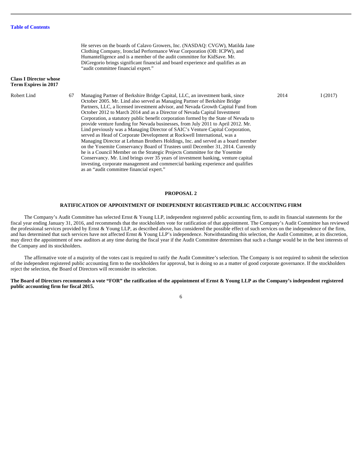| <b>Class I Director whose</b><br>Term Expires in 2017 |    | He serves on the boards of Calavo Growers, Inc. (NASDAQ: CVGW), Matilda Jane<br>Clothing Company, Ironclad Performance Wear Corporation (OB: ICPW), and<br>Humantelligence and is a member of the audit committee for KidSave. Mr.<br>DiGregorio brings significant financial and board experience and qualifies as an<br>"audit committee financial expert."                                                                                                                                                                                                                                                                                                                                                                                                                                                                                                                                                                                                                                                                                                                                                                                      |      |         |
|-------------------------------------------------------|----|----------------------------------------------------------------------------------------------------------------------------------------------------------------------------------------------------------------------------------------------------------------------------------------------------------------------------------------------------------------------------------------------------------------------------------------------------------------------------------------------------------------------------------------------------------------------------------------------------------------------------------------------------------------------------------------------------------------------------------------------------------------------------------------------------------------------------------------------------------------------------------------------------------------------------------------------------------------------------------------------------------------------------------------------------------------------------------------------------------------------------------------------------|------|---------|
| Robert Lind                                           | 67 | Managing Partner of Berkshire Bridge Capital, LLC, an investment bank, since<br>October 2005. Mr. Lind also served as Managing Partner of Berkshire Bridge<br>Partners, LLC, a licensed investment advisor, and Nevada Growth Capital Fund from<br>October 2012 to March 2014 and as a Director of Nevada Capital Investment<br>Corporation, a statutory public benefit corporation formed by the State of Nevada to<br>provide venture funding for Nevada businesses, from July 2011 to April 2012. Mr.<br>Lind previously was a Managing Director of SAIC's Venture Capital Corporation,<br>served as Head of Corporate Development at Rockwell International, was a<br>Managing Director at Lehman Brothers Holdings, Inc. and served as a board member<br>on the Yosemite Conservancy Board of Trustees until December 31, 2014. Currently<br>he is a Council Member on the Strategic Projects Committee for the Yosemite<br>Conservancy. Mr. Lind brings over 35 years of investment banking, venture capital<br>investing, corporate management and commercial banking experience and qualifies<br>as an "audit committee financial expert." | 2014 | I(2017) |

# **PROPOSAL 2**

# **RATIFICATION OF APPOINTMENT OF INDEPENDENT REGISTERED PUBLIC ACCOUNTING FIRM**

The Company's Audit Committee has selected Ernst & Young LLP, independent registered public accounting firm, to audit its financial statements for the fiscal year ending January 31, 2016, and recommends that the stockholders vote for ratification of that appointment. The Company's Audit Committee has reviewed the professional services provided by Ernst & Young LLP, as described above, has considered the possible effect of such services on the independence of the firm, and has determined that such services have not affected Ernst & Young LLP's independence. Notwithstanding this selection, the Audit Committee, at its discretion, may direct the appointment of new auditors at any time during the fiscal year if the Audit Committee determines that such a change would be in the best interests of the Company and its stockholders.

The affirmative vote of a majority of the votes cast is required to ratify the Audit Committee's selection. The Company is not required to submit the selection of the independent registered public accounting firm to the stockholders for approval, but is doing so as a matter of good corporate governance. If the stockholders reject the selection, the Board of Directors will reconsider its selection.

# **The Board of Directors recommends a vote "FOR" the ratification of the appointment of Ernst & Young LLP as the Company's independent registered public accounting firm for fiscal 2015.**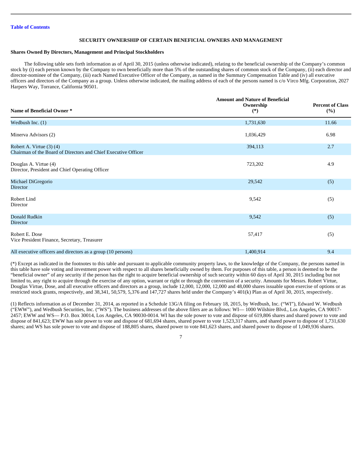# **SECURITY OWNERSHIP OF CERTAIN BENEFICIAL OWNERS AND MANAGEMENT**

# **Shares Owned By Directors, Management and Principal Stockholders**

The following table sets forth information as of April 30, 2015 (unless otherwise indicated), relating to the beneficial ownership of the Company's common stock by (i) each person known by the Company to own beneficially more than 5% of the outstanding shares of common stock of the Company, (ii) each director and director-nominee of the Company, (iii) each Named Executive Officer of the Company, as named in the Summary Compensation Table and (iv) all executive officers and directors of the Company as a group. Unless otherwise indicated, the mailing address of each of the persons named is c/o Virco Mfg. Corporation, 2027 Harpers Way, Torrance, California 90501.

| Name of Beneficial Owner*                                                                      | <b>Amount and Nature of Beneficial</b><br>Ownership<br>$(*)$ | <b>Percent of Class</b><br>(%) |
|------------------------------------------------------------------------------------------------|--------------------------------------------------------------|--------------------------------|
| Wedbush Inc. $(1)$                                                                             | 1,731,630                                                    | 11.66                          |
| Minerva Advisors (2)                                                                           | 1,036,429                                                    | 6.98                           |
| Robert A. Virtue $(3)$ $(4)$<br>Chairman of the Board of Directors and Chief Executive Officer | 394,113                                                      | 2.7                            |
| Douglas A. Virtue (4)<br>Director, President and Chief Operating Officer                       | 723,202                                                      | 4.9                            |
| Michael DiGregorio<br>Director                                                                 | 29,542                                                       | (5)                            |
| Robert Lind<br>Director                                                                        | 9,542                                                        | (5)                            |
| Donald Rudkin<br>Director                                                                      | 9,542                                                        | (5)                            |
| Robert E. Dose<br>Vice President Finance, Secretary, Treasurer                                 | 57,417                                                       | (5)                            |
| All executive officers and directors as a group (10 persons)                                   | 1,400,914                                                    | 9.4                            |

(\*) Except as indicated in the footnotes to this table and pursuant to applicable community property laws, to the knowledge of the Company, the persons named in this table have sole voting and investment power with respect to all shares beneficially owned by them. For purposes of this table, a person is deemed to be the "beneficial owner" of any security if the person has the right to acquire beneficial ownership of such security within 60 days of April 30, 2015 including but not limited to, any right to acquire through the exercise of any option, warrant or right or through the conversion of a security. Amounts for Messrs. Robert Virtue, Douglas Virtue, Dose, and all executive officers and directors as a group, include 12,000, 12,000, 12,000 and 48,000 shares issuable upon exercise of options or as restricted stock grants, respectively, and 38,341, 50,579, 5,376 and 147,727 shares held under the Company's 401(k) Plan as of April 30, 2015, respectively.

(1) Reflects information as of December 31, 2014, as reported in a Schedule 13G/A filing on February 18, 2015, by Wedbush, Inc. ("WI"), Edward W. Wedbush ("EWW"), and Wedbush Securities, Inc. ("WS"). The business addresses of the above filers are as follows: WI— 1000 Wilshire Blvd., Los Angeles, CA 90017- 2457; EWW and WS— P.O. Box 30014, Los Angeles, CA 90030-0014. WI has the sole power to vote and dispose of 619,806 shares and shared power to vote and dispose of 841,623; EWW has sole power to vote and dispose of 681,694 shares, shared power to vote 1,523,317 shares, and shared power to dispose of 1,731,630 shares; and WS has sole power to vote and dispose of 188,805 shares, shared power to vote 841,623 shares, and shared power to dispose of 1,049,936 shares.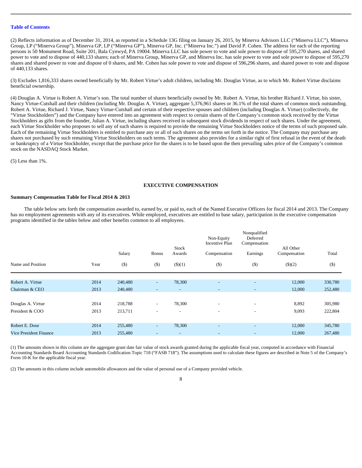(2) Reflects information as of December 31, 2014, as reported in a Schedule 13G filing on January 26, 2015, by Minerva Advisors LLC ("Minerva LLC"), Minerva Group, LP ("Minerva Group"), Minerva GP, LP ("Minerva GP"), Minerva GP, Inc. ("Minerva Inc.") and David P. Cohen. The address for each of the reporting persons is 50 Monument Road, Suite 201, Bala Cynwyd, PA 19004. Minerva LLC has sole power to vote and sole power to dispose of 595,270 shares, and shared power to vote and to dispose of 440,133 shares; each of Minerva Group, Minerva GP, and Minerva Inc. has sole power to vote and sole power to dispose of 595,270 shares and shared power to vote and dispose of 0 shares, and Mr. Cohen has sole power to vote and dispose of 596,296 shares, and shared power to vote and dispose of 440,133 shares.

(3) Excludes 1,816,333 shares owned beneficially by Mr. Robert Virtue's adult children, including Mr. Douglas Virtue, as to which Mr. Robert Virtue disclaims beneficial ownership.

(4) Douglas A. Virtue is Robert A. Virtue's son. The total number of shares beneficially owned by Mr. Robert A. Virtue, his brother Richard J. Virtue, his sister, Nancy Virtue-Cutshall and their children (including Mr. Douglas A. Virtue), aggregate 5,376,961 shares or 36.1% of the total shares of common stock outstanding. Robert A. Virtue, Richard J. Virtue, Nancy Virtue-Cutshall and certain of their respective spouses and children (including Douglas A. Virtue) (collectively, the "Virtue Stockholders") and the Company have entered into an agreement with respect to certain shares of the Company's common stock received by the Virtue Stockholders as gifts from the founder, Julian A. Virtue, including shares received in subsequent stock dividends in respect of such shares. Under the agreement, each Virtue Stockholder who proposes to sell any of such shares is required to provide the remaining Virtue Stockholders notice of the terms of such proposed sale. Each of the remaining Virtue Stockholders is entitled to purchase any or all of such shares on the terms set forth in the notice. The Company may purchase any shares not purchased by such remaining Virtue Stockholders on such terms. The agreement also provides for a similar right of first refusal in the event of the death or bankruptcy of a Virtue Stockholder, except that the purchase price for the shares is to be based upon the then prevailing sales price of the Company's common stock on the NASDAQ Stock Market.

(5) Less than 1%.

# **EXECUTIVE COMPENSATION**

# **Summary Compensation Table for Fiscal 2014 & 2013**

The table below sets forth the compensation awarded to, earned by, or paid to, each of the Named Executive Officers for fiscal 2014 and 2013. The Company has no employment agreements with any of its executives. While employed, executives are entitled to base salary, participation in the executive compensation programs identified in the tables below and other benefits common to all employees.

|                               |      | Salary  | <b>Bonus</b>             | <b>Stock</b><br>Awards   | Non-Equity<br><b>Incentive Plan</b><br>Compensation | Nonqualified<br>Deferred<br>Compensation<br>Earnings | All Other<br>Compensation | Total   |
|-------------------------------|------|---------|--------------------------|--------------------------|-----------------------------------------------------|------------------------------------------------------|---------------------------|---------|
| Name and Position             | Year | $($)$   | $(\$)$                   | $($ \$ $)(1)$            | $($)$                                               | $(\$)$                                               | $($ (\$)(2)               | $(\$)$  |
| Robert A. Virtue              | 2014 | 240,480 | $\sim$                   | 78,300                   | $\overline{\phantom{0}}$                            | $\sim$                                               | 12,000                    | 330,780 |
| Chairman & CEO                | 2013 | 240,480 | $\sim$                   | $\sim$                   | $\sim$                                              | $\sim$                                               | 12,000                    | 252,480 |
| Douglas A. Virtue             | 2014 | 218,788 | $\overline{\phantom{a}}$ | 78,300                   | $\overline{\phantom{a}}$                            | $\overline{\phantom{a}}$                             | 8,892                     | 305,980 |
| President & COO               | 2013 | 213,711 | $\overline{\phantom{0}}$ | $\overline{\phantom{a}}$ | $\overline{\phantom{a}}$                            | $\overline{\phantom{a}}$                             | 9,093                     | 222,804 |
| Robert E. Dose                | 2014 | 255,480 | $\sim$                   | 78,300                   | $\overline{\phantom{0}}$                            | $\overline{a}$                                       | 12,000                    | 345,780 |
| <b>Vice President Finance</b> | 2013 | 255,480 | $\overline{\phantom{a}}$ | $\overline{\phantom{0}}$ | $\sim$                                              | $\sim$                                               | 12,000                    | 267,480 |

(1) The amounts shown in this column are the aggregate grant date fair value of stock awards granted during the applicable fiscal year, computed in accordance with Financial Accounting Standards Board Accounting Standards Codification Topic 718 ("FASB 718"). The assumptions used to calculate these figures are described in Note 5 of the Company's Form 10-K for the applicable fiscal year.

(2) The amounts in this column include automobile allowances and the value of personal use of a Company provided vehicle.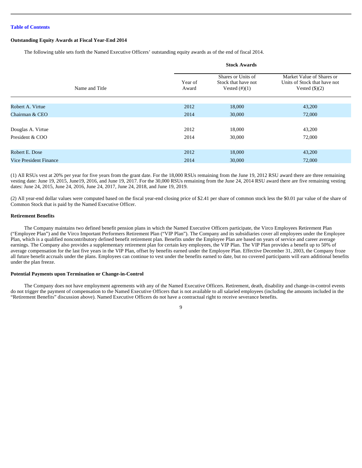# **Outstanding Equity Awards at Fiscal Year-End 2014**

The following table sets forth the Named Executive Officers' outstanding equity awards as of the end of fiscal 2014.

|                        | <b>Stock Awards</b> |                                                               |                                                                                      |  |  |
|------------------------|---------------------|---------------------------------------------------------------|--------------------------------------------------------------------------------------|--|--|
| Name and Title         | Year of<br>Award    | Shares or Units of<br>Stock that have not<br>Vested $(\#)(1)$ | Market Value of Shares or<br>Units of Stock that have not<br>Vested $(\text{$}0)(2)$ |  |  |
|                        |                     |                                                               |                                                                                      |  |  |
| Robert A. Virtue       | 2012                | 18,000                                                        | 43,200                                                                               |  |  |
| Chairman & CEO         | 2014                | 30,000                                                        | 72,000                                                                               |  |  |
|                        |                     |                                                               |                                                                                      |  |  |
| Douglas A. Virtue      | 2012                | 18,000                                                        | 43,200                                                                               |  |  |
| President & COO        | 2014                | 30,000                                                        | 72,000                                                                               |  |  |
|                        |                     |                                                               |                                                                                      |  |  |
| Robert E. Dose         | 2012                | 18,000                                                        | 43,200                                                                               |  |  |
| Vice President Finance | 2014                | 30,000                                                        | 72,000                                                                               |  |  |

(1) All RSUs vest at 20% per year for five years from the grant date. For the 18,000 RSUs remaining from the June 19, 2012 RSU award there are three remaining vesting date: June 19, 2015, June19, 2016, and June 19, 2017. For the 30,000 RSUs remaining from the June 24, 2014 RSU award there are five remaining vesting dates: June 24, 2015, June 24, 2016, June 24, 2017, June 24, 2018, and June 19, 2019.

(2) All year-end dollar values were computed based on the fiscal year-end closing price of \$2.41 per share of common stock less the \$0.01 par value of the share of Common Stock that is paid by the Named Executive Officer.

# **Retirement Benefits**

The Company maintains two defined benefit pension plans in which the Named Executive Officers participate, the Virco Employees Retirement Plan ("Employee Plan") and the Virco Important Performers Retirement Plan ("VIP Plan"). The Company and its subsidiaries cover all employees under the Employee Plan, which is a qualified noncontributory defined benefit retirement plan. Benefits under the Employee Plan are based on years of service and career average earnings. The Company also provides a supplementary retirement plan for certain key employees, the VIP Plan. The VIP Plan provides a benefit up to 50% of average compensation for the last five years in the VIP Plan, offset by benefits earned under the Employee Plan. Effective December 31, 2003, the Company froze all future benefit accruals under the plans. Employees can continue to vest under the benefits earned to date, but no covered participants will earn additional benefits under the plan freeze.

# **Potential Payments upon Termination or Change-in-Control**

The Company does not have employment agreements with any of the Named Executive Officers. Retirement, death, disability and change-in-control events do not trigger the payment of compensation to the Named Executive Officers that is not available to all salaried employees (including the amounts included in the "Retirement Benefits" discussion above). Named Executive Officers do not have a contractual right to receive severance benefits.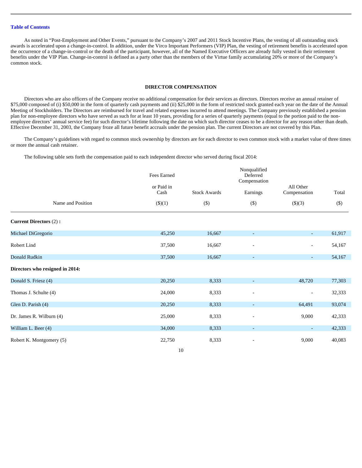As noted in "Post-Employment and Other Events," pursuant to the Company's 2007 and 2011 Stock Incentive Plans, the vesting of all outstanding stock awards is accelerated upon a change-in-control. In addition, under the Virco Important Performers (VIP) Plan, the vesting of retirement benefits is accelerated upon the occurrence of a change-in-control or the death of the participant, however, all of the Named Executive Officers are already fully vested in their retirement benefits under the VIP Plan. Change-in-control is defined as a party other than the members of the Virtue family accumulating 20% or more of the Company's common stock.

# **DIRECTOR COMPENSATION**

Directors who are also officers of the Company receive no additional compensation for their services as directors. Directors receive an annual retainer of \$75,000 composed of (i) \$50,000 in the form of quarterly cash payments and (ii) \$25,000 in the form of restricted stock granted each year on the date of the Annual Meeting of Stockholders. The Directors are reimbursed for travel and related expenses incurred to attend meetings. The Company previously established a pension plan for non-employee directors who have served as such for at least 10 years, providing for a series of quarterly payments (equal to the portion paid to the nonemployee directors' annual service fee) for such director's lifetime following the date on which such director ceases to be a director for any reason other than death. Effective December 31, 2003, the Company froze all future benefit accruals under the pension plan. The current Directors are not covered by this Plan.

The Company's guidelines with regard to common stock ownership by directors are for each director to own common stock with a market value of three times or more the annual cash retainer.

The following table sets forth the compensation paid to each independent director who served during fiscal 2014:

|                                 | Fees Earned        |                     | Nonqualified<br>Deferred<br>Compensation |                           |         |
|---------------------------------|--------------------|---------------------|------------------------------------------|---------------------------|---------|
|                                 | or Paid in<br>Cash | <b>Stock Awards</b> | Earnings                                 | All Other<br>Compensation | Total   |
| Name and Position               | $($ (\$)(1)        | $(\$)$              | $(\$)$                                   | \$)(3)                    | $($ \$) |
| <b>Current Directors (2):</b>   |                    |                     |                                          |                           |         |
| Michael DiGregorio              | 45,250             | 16,667              |                                          | $\sim$                    | 61,917  |
| Robert Lind                     | 37,500             | 16,667              |                                          | $\overline{\phantom{a}}$  | 54,167  |
| Donald Rudkin                   | 37,500             | 16,667              |                                          | $\sim$                    | 54,167  |
| Directors who resigned in 2014: |                    |                     |                                          |                           |         |
| Donald S. Friesz (4)            | 20,250             | 8,333               |                                          | 48,720                    | 77,303  |
| Thomas J. Schulte (4)           | 24,000             | 8,333               |                                          | $\overline{\phantom{a}}$  | 32,333  |
| Glen D. Parish (4)              | 20,250             | 8,333               |                                          | 64,491                    | 93,074  |
| Dr. James R. Wilburn (4)        | 25,000             | 8,333               |                                          | 9,000                     | 42,333  |
| William L. Beer (4)             | 34,000             | 8,333               |                                          |                           | 42,333  |
| Robert K. Montgomery (5)        | 22,750             | 8,333               |                                          | 9,000                     | 40,083  |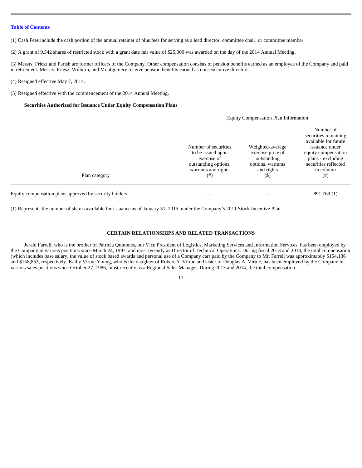(1) Cash Fees include the cash portion of the annual retainer of plus fees for serving as a lead director, committee chair, or committee member.

(2) A grant of 9,542 shares of restricted stock with a grant date fair value of \$25,000 was awarded on the day of the 2014 Annual Meeting.

(3) Messrs. Friesz and Parish are former officers of the Company. Other compensation consists of pension benefits earned as an employee of the Company and paid in retirement. Messrs. Friesz, Wilburn, and Montgomery receive pension benefits earned as non-executive directors.

# (4) Resigned effective May 7, 2014.

(5) Resigned effective with the commencement of the 2014 Annual Meeting.

# **Securities Authorized for Issuance Under Equity Compensation Plans**

|                                                        |                                                                                                                     | Equity compensation I had information                                                           |                                                                                                                                                                      |
|--------------------------------------------------------|---------------------------------------------------------------------------------------------------------------------|-------------------------------------------------------------------------------------------------|----------------------------------------------------------------------------------------------------------------------------------------------------------------------|
| Plan category                                          | Number of securities<br>to be issued upon<br>exercise of<br>outstanding options,<br>warrants and rights<br>$^{(#)}$ | Weighted-average<br>exercise price of<br>outstanding<br>options, warrants<br>and rights<br>(\$) | Number of<br>securities remaining<br>available for future<br>issuance under<br>equity compensation<br>plans - excluding<br>securities reflected<br>in column<br>(# ) |
| Equity compensation plans approved by security holders |                                                                                                                     |                                                                                                 | 891,769 (1)                                                                                                                                                          |

Equity Compensation Plan Information

(1) Represents the number of shares available for issuance as of January 31, 2015, under the Company's 2011 Stock Incentive Plan.

# **CERTAIN RELATIONSHIPS AND RELATED TRANSACTIONS**

Jerald Farrell, who is the brother of Patricia Quinones, our Vice President of Logistics, Marketing Services and Information Services, has been employed by the Company in various positions since March 24, 1997, and most recently as Director of Technical Operations. During fiscal 2013 and 2014, the total compensation (which includes base salary, the value of stock based awards and personal use of a Company car) paid by the Company to Mr. Farrell was approximately \$154,136 and \$158,853, respectively. Kathy Virtue Young, who is the daughter of Robert A. Virtue and sister of Douglas A. Virtue, has been employed by the Company in various sales positions since October 27, 1986, most recently as a Regional Sales Manager. During 2013 and 2014, the total compensation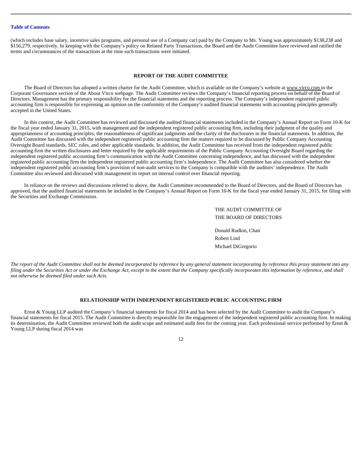(which includes base salary, incentive sales programs, and personal use of a Company car) paid by the Company to Ms. Young was approximately \$138,238 and \$156,279, respectively. In keeping with the Company's policy on Related Party Transactions, the Board and the Audit Committee have reviewed and ratified the terms and circumstances of the transactions at the time such transactions were initiated.

# **REPORT OF THE AUDIT COMMITTEE**

The Board of Directors has adopted a written charter for the Audit Committee, which is available on the Company's website at www.virco.com in the Corporate Governance section of the About Virco webpage. The Audit Committee reviews the Company's financial reporting process on behalf of the Board of Directors. Management has the primary responsibility for the financial statements and the reporting process. The Company's independent registered public accounting firm is responsible for expressing an opinion on the conformity of the Company's audited financial statements with accounting principles generally accepted in the United States.

In this context, the Audit Committee has reviewed and discussed the audited financial statements included in the Company's Annual Report on Form 10-K for the fiscal year ended January 31, 2015, with management and the independent registered public accounting firm, including their judgment of the quality and appropriateness of accounting principles, the reasonableness of significant judgments and the clarity of the disclosures in the financial statements. In addition, the Audit Committee has discussed with the independent registered public accounting firm the matters required to be discussed by Public Company Accounting Oversight Board standards, SEC rules, and other applicable standards. In addition, the Audit Committee has received from the independent registered public accounting firm the written disclosures and letter required by the applicable requirements of the Public Company Accounting Oversight Board regarding the independent registered public accounting firm's communication with the Audit Committee concerning independence, and has discussed with the independent registered public accounting firm the independent registered public accounting firm's independence. The Audit Committee has also considered whether the independent registered public accounting firm's provision of non-audit services to the Company is compatible with the auditors' independence. The Audit Committee also reviewed and discussed with management its report on internal control over financial reporting.

In reliance on the reviews and discussions referred to above, the Audit Committee recommended to the Board of Directors, and the Board of Directors has approved, that the audited financial statements be included in the Company's Annual Report on Form 10-K for the fiscal year ended January 31, 2015, for filing with the Securities and Exchange Commission.

> THE AUDIT COMMITTEE OF THE BOARD OF DIRECTORS Donald Rudkin, Chair Robert Lind Michael DiGregorio

*The report of the Audit Committee shall not be deemed incorporated by reference by any general statement incorporating by reference this proxy statement into any filing under the Securities Act or under the Exchange Act, except to the extent that the Company specifically incorporates this information by reference, and shall not otherwise be deemed filed under such Acts.* 

# **RELATIONSHIP WITH INDEPENDENT REGISTERED PUBLIC ACCOUNTING FIRM**

Ernst & Young LLP audited the Company's financial statements for fiscal 2014 and has been selected by the Audit Committee to audit the Company's financial statements for fiscal 2015. The Audit Committee is directly responsible for the engagement of the independent registered public accounting firm. In making its determination, the Audit Committee reviewed both the audit scope and estimated audit fees for the coming year. Each professional service performed by Ernst & Young LLP during fiscal 2014 was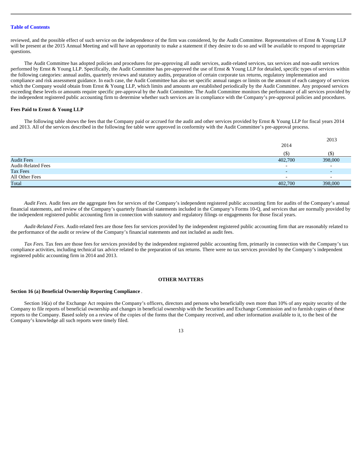reviewed, and the possible effect of such service on the independence of the firm was considered, by the Audit Committee. Representatives of Ernst & Young LLP will be present at the 2015 Annual Meeting and will have an opportunity to make a statement if they desire to do so and will be available to respond to appropriate questions.

The Audit Committee has adopted policies and procedures for pre-approving all audit services, audit-related services, tax services and non-audit services performed by Ernst & Young LLP. Specifically, the Audit Committee has pre-approved the use of Ernst & Young LLP for detailed, specific types of services within the following categories: annual audits, quarterly reviews and statutory audits, preparation of certain corporate tax returns, regulatory implementation and compliance and risk assessment guidance. In each case, the Audit Committee has also set specific annual ranges or limits on the amount of each category of services which the Company would obtain from Ernst & Young LLP, which limits and amounts are established periodically by the Audit Committee. Any proposed services exceeding these levels or amounts require specific pre-approval by the Audit Committee. The Audit Committee monitors the performance of all services provided by the independent registered public accounting firm to determine whether such services are in compliance with the Company's pre-approval policies and procedures.

# **Fees Paid to Ernst & Young LLP**

The following table shows the fees that the Company paid or accrued for the audit and other services provided by Ernst & Young LLP for fiscal years 2014 and 2013. All of the services described in the following fee table were approved in conformity with the Audit Committee's pre-approval process.

|                           |                          | 2013                     |
|---------------------------|--------------------------|--------------------------|
|                           | 2014                     |                          |
|                           | (S                       | $($ \$                   |
| <b>Audit Fees</b>         | 402,700                  | 398,000                  |
| <b>Audit-Related Fees</b> | $\overline{\phantom{0}}$ | $\overline{\phantom{0}}$ |
| Tax Fees                  | $\overline{\phantom{0}}$ | $\overline{\phantom{a}}$ |
| All Other Fees            | $\overline{\phantom{0}}$ | $\overline{\phantom{0}}$ |
| Total                     | 402,700                  | 398,000                  |

*Audit Fees.* Audit fees are the aggregate fees for services of the Company's independent registered public accounting firm for audits of the Company's annual financial statements, and review of the Company's quarterly financial statements included in the Company's Forms 10-Q, and services that are normally provided by the independent registered public accounting firm in connection with statutory and regulatory filings or engagements for those fiscal years.

*Audit-Related Fees.* Audit-related fees are those fees for services provided by the independent registered public accounting firm that are reasonably related to the performance of the audit or review of the Company's financial statements and not included as audit fees.

*Tax Fees.* Tax fees are those fees for services provided by the independent registered public accounting firm, primarily in connection with the Company's tax compliance activities, including technical tax advice related to the preparation of tax returns. There were no tax services provided by the Company's independent registered public accounting firm in 2014 and 2013.

# **OTHER MATTERS**

# **Section 16 (a) Beneficial Ownership Reporting Compliance** *.*

Section 16(a) of the Exchange Act requires the Company's officers, directors and persons who beneficially own more than 10% of any equity security of the Company to file reports of beneficial ownership and changes in beneficial ownership with the Securities and Exchange Commission and to furnish copies of these reports to the Company. Based solely on a review of the copies of the forms that the Company received, and other information available to it, to the best of the Company's knowledge all such reports were timely filed.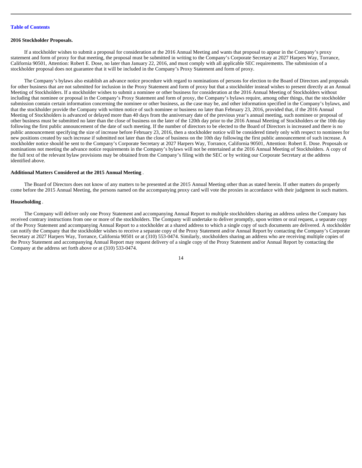#### **2016 Stockholder Proposals.**

If a stockholder wishes to submit a proposal for consideration at the 2016 Annual Meeting and wants that proposal to appear in the Company's proxy statement and form of proxy for that meeting, the proposal must be submitted in writing to the Company's Corporate Secretary at 2027 Harpers Way, Torrance, California 90501, Attention: Robert E. Dose, no later than January 22, 2016, and must comply with all applicable SEC requirements. The submission of a stockholder proposal does not guarantee that it will be included in the Company's Proxy Statement and form of proxy.

The Company's bylaws also establish an advance notice procedure with regard to nominations of persons for election to the Board of Directors and proposals for other business that are not submitted for inclusion in the Proxy Statement and form of proxy but that a stockholder instead wishes to present directly at an Annual Meeting of Stockholders. If a stockholder wishes to submit a nominee or other business for consideration at the 2016 Annual Meeting of Stockholders without including that nominee or proposal in the Company's Proxy Statement and form of proxy, the Company's bylaws require, among other things, that the stockholder submission contain certain information concerning the nominee or other business, as the case may be, and other information specified in the Company's bylaws, and that the stockholder provide the Company with written notice of such nominee or business no later than February 23, 2016, provided that, if the 2016 Annual Meeting of Stockholders is advanced or delayed more than 40 days from the anniversary date of the previous year's annual meeting, such nominee or proposal of other business must be submitted no later than the close of business on the later of the 120th day prior to the 2016 Annual Meeting of Stockholders or the 10th day following the first public announcement of the date of such meeting. If the number of directors to be elected to the Board of Directors is increased and there is no public announcement specifying the size of increase before February 23, 2016, then a stockholder notice will be considered timely only with respect to nominees for new positions created by such increase if submitted not later than the close of business on the 10th day following the first public announcement of such increase. A stockholder notice should be sent to the Company's Corporate Secretary at 2027 Harpers Way, Torrance, California 90501, Attention: Robert E. Dose. Proposals or nominations not meeting the advance notice requirements in the Company's bylaws will not be entertained at the 2016 Annual Meeting of Stockholders. A copy of the full text of the relevant bylaw provisions may be obtained from the Company's filing with the SEC or by writing our Corporate Secretary at the address identified above.

# **Additional Matters Considered at the 2015 Annual Meeting** *.*

The Board of Directors does not know of any matters to be presented at the 2015 Annual Meeting other than as stated herein. If other matters do properly come before the 2015 Annual Meeting, the persons named on the accompanying proxy card will vote the proxies in accordance with their judgment in such matters.

# **Householding** *.*

The Company will deliver only one Proxy Statement and accompanying Annual Report to multiple stockholders sharing an address unless the Company has received contrary instructions from one or more of the stockholders. The Company will undertake to deliver promptly, upon written or oral request, a separate copy of the Proxy Statement and accompanying Annual Report to a stockholder at a shared address to which a single copy of such documents are delivered. A stockholder can notify the Company that the stockholder wishes to receive a separate copy of the Proxy Statement and/or Annual Report by contacting the Company's Corporate Secretary at 2027 Harpers Way, Torrance, California 90501 or at (310) 553-0474. Similarly, stockholders sharing an address who are receiving multiple copies of the Proxy Statement and accompanying Annual Report may request delivery of a single copy of the Proxy Statement and/or Annual Report by contacting the Company at the address set forth above or at (310) 533-0474.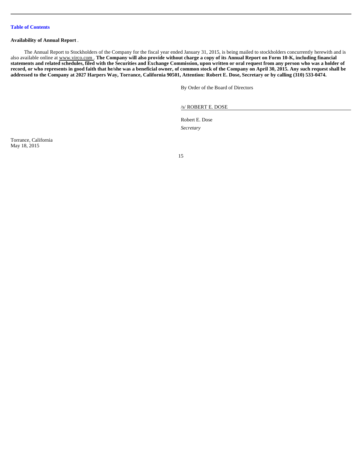# **Availability of Annual Report** *.*

The Annual Report to Stockholders of the Company for the fiscal year ended January 31, 2015, is being mailed to stockholders concurrently herewith and is also available online at www.virco.com. The Company will also provide without charge a copy of its Annual Report on Form 10-K, including financial **statements and related schedules, filed with the Securities and Exchange Commission, upon written or oral request from any person who was a holder of record, or who represents in good faith that he/she was a beneficial owner, of common stock of the Company on April 30, 2015. Any such request shall be addressed to the Company at 2027 Harpers Way, Torrance, California 90501, Attention: Robert E. Dose, Secretary or by calling (310) 533-0474.** 

By Order of the Board of Directors

/s/ ROBERT E. DOSE

Robert E. Dose *Secretary* 

Torrance, California May 18, 2015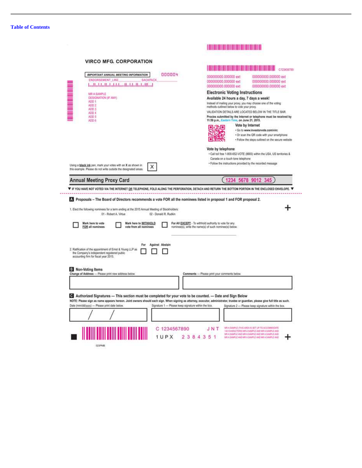| <b>VIRCO MFG. CORPORATION</b><br>000004<br>IMPORTANT ANNUAL MEETING INFORMATION<br>ENDORSEMENT LINE<br><b>SACKPACK</b><br>اسللتما ببانيا ببانيا ببانيا ببانيا بالملتالينيا<br>MR A SAMPLE<br>DESIGNATION (IF ANY)<br>ADD 1<br>ADD <sub>2</sub><br>ADD <sub>3</sub><br>ADD 4<br>ADD 5<br>ADD 6 | 0199458780<br>000000000.000000 ext<br>000000000.000000 ext<br>000000000.000000 ext<br>000000000.000000 ext<br>000000000.000000 ext<br>000000000.000000 ext<br><b>Electronic Voting Instructions</b><br>Available 24 hours a day, 7 days a week!<br>Instead of mailing your proxy, you may choose one of the voting<br>methods outlined below to vote your proxy.<br>VALIDATION DETAILS ARE LOCATED BELOW IN THE TITLE BAR.<br>Proxies submitted by the Internet or telephone must be received by<br>11:59 p.m., Eastern Time, on June 21, 2015.<br>Vote by Internet<br>्त्राणि<br>· Go to www.investorvote.com/virc<br>. Or scan the QR code with your smartphone<br>. Follow the steps outlined on the secure website |
|-----------------------------------------------------------------------------------------------------------------------------------------------------------------------------------------------------------------------------------------------------------------------------------------------|------------------------------------------------------------------------------------------------------------------------------------------------------------------------------------------------------------------------------------------------------------------------------------------------------------------------------------------------------------------------------------------------------------------------------------------------------------------------------------------------------------------------------------------------------------------------------------------------------------------------------------------------------------------------------------------------------------------------|
| Using a black ink pen, mark your votes with an X as shown in<br>X<br>this example. Please do not write outside the designated areas.                                                                                                                                                          | Vote by telephone<br>. Call toll free 1-800-652-VOTE (8683) within the USA, US territories &<br>Canada on a touch tone telephone.<br>· Follow the instructions provided by the recorded message                                                                                                                                                                                                                                                                                                                                                                                                                                                                                                                        |
| <b>Annual Meeting Proxy Card</b>                                                                                                                                                                                                                                                              | 1234 5678<br>9012<br>345                                                                                                                                                                                                                                                                                                                                                                                                                                                                                                                                                                                                                                                                                               |
| 01 - Robert A. Virtue                                                                                                                                                                                                                                                                         | Proposals - The Board of Directors recommends a vote FOR all the nominees listed in proposal 1 and FOR proposal 2.                                                                                                                                                                                                                                                                                                                                                                                                                                                                                                                                                                                                     |
| 1. Elect the following nominees for a term ending at the 2015 Annual Meeting of Stockholders:<br>02 - Donald R. Rudkin<br>Mark here to vote<br>Mark here to WITHHOLD<br>FOR all nominees.<br>vote from all nominees                                                                           | For All EXCEPT - To withhold authority to vote for any<br>nominee(s), write the name(s) of such nominee(s) below.                                                                                                                                                                                                                                                                                                                                                                                                                                                                                                                                                                                                      |
| For<br>Against Abstain<br>2. Ratification of the appointment of Emst & Young LLP as<br>the Company's independent registered public<br>accounting firm for fiscal year 2015.<br><b>B</b> Non-Voting Items                                                                                      |                                                                                                                                                                                                                                                                                                                                                                                                                                                                                                                                                                                                                                                                                                                        |
| Change of Address - Please print new address below.                                                                                                                                                                                                                                           | Comments - Please print your comments below.                                                                                                                                                                                                                                                                                                                                                                                                                                                                                                                                                                                                                                                                           |
| Authorized Signatures - This section must be completed for your vote to be counted. - Date and Sign Below<br>Date (mm/dd/yyyy) -- Please print date below.                                                                                                                                    | NOTE: Please sign as name appears hereon. Joint owners should each sign. When signing as attorney, executor, administrator, trustee or guardian, please give full title as such.<br>Signature 1 - Please keep signature within the box.<br>Signature 2 - Please keep signature within the box.                                                                                                                                                                                                                                                                                                                                                                                                                         |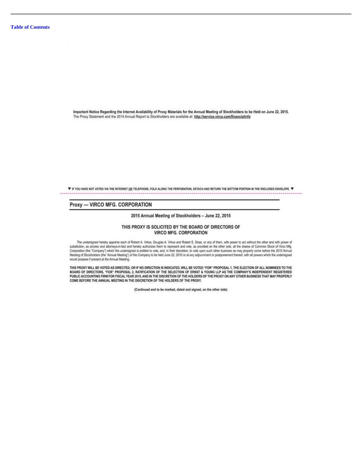Important Notice Regarding the Internet Availability of Proxy Materials for the Annual Meeting of Stockholders to be Held on June 22, 2015. The Proxy Statement and the 2014 Annual Report to Stockholders are available at: http://service.virco.com/financialinfo

▼ IF YOU HAVE NOT VOTED VIA THE INTERNET OR TELEPHONE, FOLD ALONG THE PERFORATION, DETACH AND RETURN THE BOTTOM PORTION IN THE ENCLOSED ENVELOPE. ▼ 

# Proxy - VIRCO MFG. CORPORATION

2015 Annual Meeting of Stockholders - June 22, 2015

# THIS PROXY IS SOLICITED BY THE BOARD OF DIRECTORS OF **VIRCO MFG. CORPORATION**

The undersigned hereby appoints each of Robert A. Virtue, Douglas A. Virtue and Robert E. Dose, or any of them, with power to act without the other and with power of substitution, as provies and attorneys-in-fact and hereby authorizes them to represent and vote, as provided on the other side, all the shares of Common Stock of Virco Mfg. Corporation (the "Company") which the undersigned is entitied to vote, and, in their discretion, to vote upon such other business as may properly come before the 2015 Annual would possess if present at the Annual Meeting.

THIS PROXY WILL BE VOTED AS DIRECTED, OR IF NO DIRECTION IS INDICATED, WILL BE VOTED "FOR" PROPOSAL 1, THE ELECTION OF ALL NOMINEES TO THE<br>BOARD OF DIRECTORS, "FOR" PROPOSAL 2, RATIFICATION OF THE SELECTION OF ERNST & YOUN PUBLIC ACCOUNTING FIRM FOR FISCAL YEAR 2015, AND IN THE DISCRETION OF THE HOLDERS OF THE PROXY ON ANY OTHER BUSINESS THAT MAY PROPERLY COME BEFORE THE ANNUAL MEETING IN THE DISCRETION OF THE HOLDERS OF THE PROXY.

(Continued and to be marked, dated and signed, on the other side)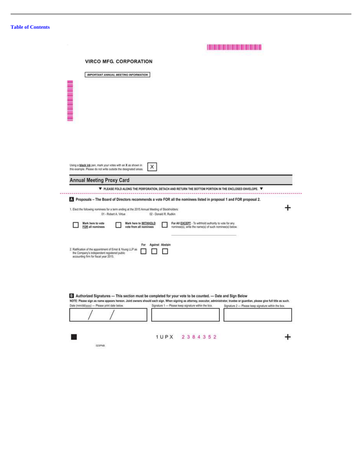|                                                                                                                                 | <b>VIRCO MFG. CORPORATION</b>                                                                                          |                                                                                                                    |                                                                                                                                                                                  |  |
|---------------------------------------------------------------------------------------------------------------------------------|------------------------------------------------------------------------------------------------------------------------|--------------------------------------------------------------------------------------------------------------------|----------------------------------------------------------------------------------------------------------------------------------------------------------------------------------|--|
|                                                                                                                                 | IMPORTANT ANNUAL MEETING INFORMATION                                                                                   |                                                                                                                    |                                                                                                                                                                                  |  |
| n de la composição de la composição de la composição de la composição de la composição de la composição de la                   |                                                                                                                        |                                                                                                                    |                                                                                                                                                                                  |  |
|                                                                                                                                 |                                                                                                                        |                                                                                                                    |                                                                                                                                                                                  |  |
|                                                                                                                                 |                                                                                                                        |                                                                                                                    |                                                                                                                                                                                  |  |
|                                                                                                                                 |                                                                                                                        |                                                                                                                    |                                                                                                                                                                                  |  |
|                                                                                                                                 |                                                                                                                        |                                                                                                                    |                                                                                                                                                                                  |  |
|                                                                                                                                 |                                                                                                                        |                                                                                                                    |                                                                                                                                                                                  |  |
| Using a black ink pen, mark your votes with an X as shown in<br>this example. Please do not write outside the designated areas. |                                                                                                                        | ×                                                                                                                  |                                                                                                                                                                                  |  |
| <b>Annual Meeting Proxy Card</b>                                                                                                |                                                                                                                        |                                                                                                                    |                                                                                                                                                                                  |  |
|                                                                                                                                 |                                                                                                                        |                                                                                                                    |                                                                                                                                                                                  |  |
|                                                                                                                                 |                                                                                                                        | $\Psi$ please fold along the perforation, detach and return the bottom portion in the enclosed envelope. $\Psi$    |                                                                                                                                                                                  |  |
|                                                                                                                                 |                                                                                                                        | Proposals - The Board of Directors recommends a vote FOR all the nominees listed in proposal 1 and FOR proposal 2. |                                                                                                                                                                                  |  |
|                                                                                                                                 | 1. Elect the following nominees for a term ending at the 2015 Annual Meeting of Stockholders:<br>01 - Robert A. Virtue | 02 - Donald R. Rudkin                                                                                              |                                                                                                                                                                                  |  |
| Mark here to vote                                                                                                               | Mark here to WITHHOLD                                                                                                  | For All EXCEPT - To withhold authority to vote for any                                                             |                                                                                                                                                                                  |  |
| FOR all nominees                                                                                                                | vote from all nominees                                                                                                 | nominee(s), write the name(s) of such nominee(s) below.                                                            |                                                                                                                                                                                  |  |
|                                                                                                                                 |                                                                                                                        |                                                                                                                    |                                                                                                                                                                                  |  |
|                                                                                                                                 |                                                                                                                        |                                                                                                                    |                                                                                                                                                                                  |  |
|                                                                                                                                 | For                                                                                                                    | <b>Against Abstain</b>                                                                                             |                                                                                                                                                                                  |  |
| the Company's independent registered public<br>accounting firm for fiscal year 2015.                                            |                                                                                                                        |                                                                                                                    |                                                                                                                                                                                  |  |
|                                                                                                                                 |                                                                                                                        |                                                                                                                    |                                                                                                                                                                                  |  |
|                                                                                                                                 |                                                                                                                        |                                                                                                                    |                                                                                                                                                                                  |  |
|                                                                                                                                 |                                                                                                                        |                                                                                                                    |                                                                                                                                                                                  |  |
|                                                                                                                                 |                                                                                                                        |                                                                                                                    |                                                                                                                                                                                  |  |
|                                                                                                                                 |                                                                                                                        | 13 Authorized Signatures - This section must be completed for your vote to be counted. - Date and Sign Below       | NOTE: Please sign as name appears hereon. Joint owners should each sign. When signing as attorney, executor, administrator, trustee or guardian, please give full title as such. |  |
|                                                                                                                                 |                                                                                                                        | Signature 1 - Please keep signature within the box.                                                                | Signature 2 - Please keep signature within the box.                                                                                                                              |  |
|                                                                                                                                 |                                                                                                                        |                                                                                                                    |                                                                                                                                                                                  |  |
| 2. Ratification of the appointment of Emst & Young LLP as<br>Date (mm/dd/yyyy) -- Please print date below.                      |                                                                                                                        |                                                                                                                    |                                                                                                                                                                                  |  |
|                                                                                                                                 |                                                                                                                        | 1UPX 2384352                                                                                                       |                                                                                                                                                                                  |  |

A BOL DOLLARS BOL BOL BOL DOLLARS BOL BOL BOL BOL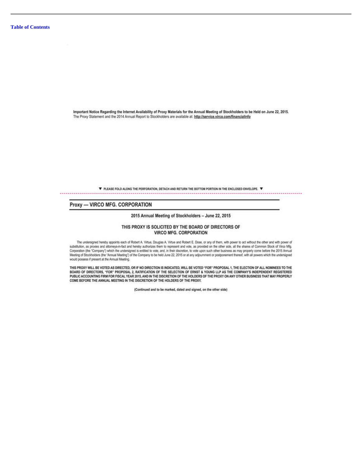Important Notice Regarding the Internet Availability of Proxy Materials for the Annual Meeting of Stockholders to be Held on June 22, 2015. The Proxy Statement and the 2014 Annual Report to Stockholders are available at: http://service.virco.com/financialinfo

> ▼ PLEASE FOLD ALONG THE PERFORATION, DETACH AND RETURN THE BOTTOM PORTION IN THE ENCLOSED ENVELOPE. ▼ ....................

# Proxy - VIRCO MFG. CORPORATION

2015 Annual Meeting of Stockholders - June 22, 2015

# THIS PROXY IS SOLICITED BY THE BOARD OF DIRECTORS OF **VIRCO MFG. CORPORATION**

The undersigned hereby appoints each of Robert A. Virtue, Douglas A. Virtue and Robert E. Dose, or any of them, with power to act without the other and with power of substitution, as provies and attorneys-in-fact and hereby authorizes them to represent and vote, as provided on the other side, all the shares of Common Stock of Virco Mfg. Corporation (the "Company") which the undersigned is entitied to vote, and, in their discretion, to vote upon such other business as may properly come before the 2015 Annual would possess if present at the Annual Meeting.

THIS PROXY WILL BE VOTED AS DIRECTED, OR IF NO DIRECTION IS INDICATED, WILL BE VOTED "FOR" PROPOSAL 1, THE ELECTION OF ALL NOMINEES TO THE<br>BOARD OF DIRECTORS, "FOR" PROPOSAL 2, RATIFICATION OF THE SELECTION OF ERNST & YOUN PUBLIC ACCOUNTING FIRM FOR FISCAL YEAR 2015, AND IN THE DISCRETION OF THE HOLDERS OF THE PROXY ON ANY OTHER BUSINESS THAT MAY PROPERLY COME BEFORE THE ANNUAL MEETING IN THE DISCRETION OF THE HOLDERS OF THE PROXY.

(Continued and to be marked, dated and signed, on the other side)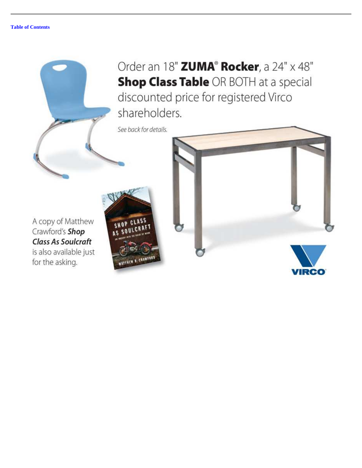

See back for details.

**UNITED** 

A copy of Matthew Crawford's Shop **Class As Soulcraft** is also available just for the asking.